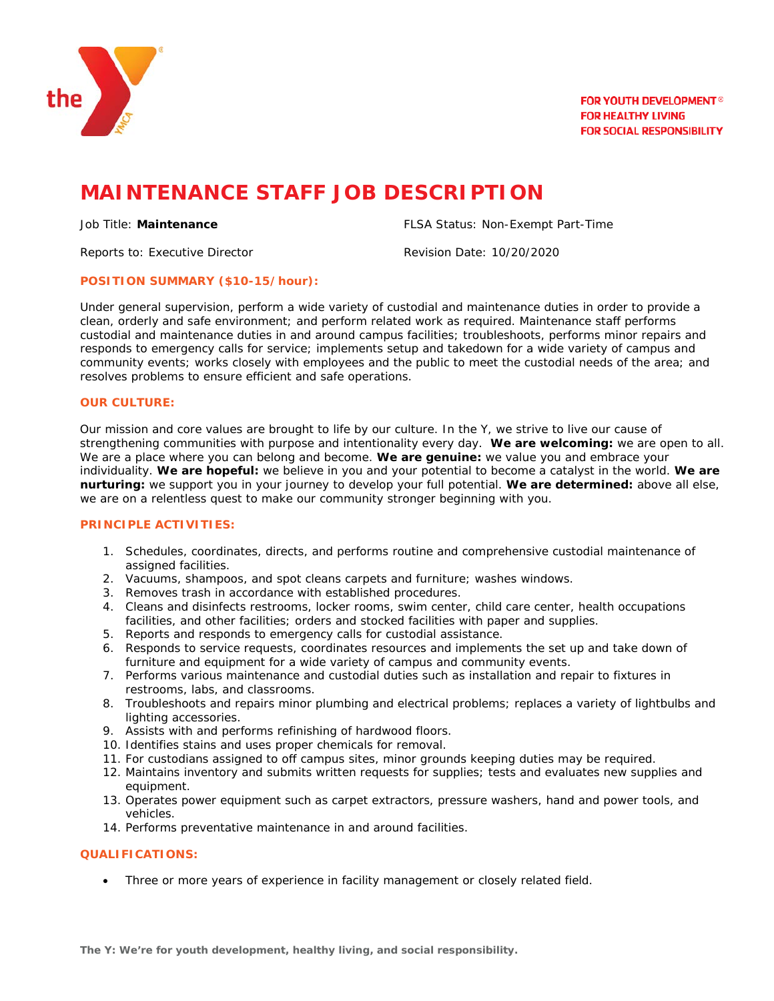

# **MAINTENANCE STAFF JOB DESCRIPTION**

Reports to: Executive Director **Revision Date: 10/20/2020** 

Job Title: **Maintenance** FLSA Status: Non-Exempt Part-Time

### **POSITION SUMMARY (\$10-15/hour):**

Under general supervision, perform a wide variety of custodial and maintenance duties in order to provide a clean, orderly and safe environment; and perform related work as required. Maintenance staff performs custodial and maintenance duties in and around campus facilities; troubleshoots, performs minor repairs and responds to emergency calls for service; implements setup and takedown for a wide variety of campus and community events; works closely with employees and the public to meet the custodial needs of the area; and resolves problems to ensure efficient and safe operations.

## **OUR CULTURE:**

Our mission and core values are brought to life by our culture. In the Y, we strive to live our cause of strengthening communities with purpose and intentionality every day. **We are welcoming:** we are open to all. We are a place where you can belong and become. **We are genuine:** we value you and embrace your individuality. **We are hopeful:** we believe in you and your potential to become a catalyst in the world. **We are nurturing:** we support you in your journey to develop your full potential. **We are determined:** above all else, we are on a relentless quest to make our community stronger beginning with you.

## **PRINCIPLE ACTIVITIES:**

- 1. Schedules, coordinates, directs, and performs routine and comprehensive custodial maintenance of assigned facilities.
- 2. Vacuums, shampoos, and spot cleans carpets and furniture; washes windows.
- 3. Removes trash in accordance with established procedures.
- 4. Cleans and disinfects restrooms, locker rooms, swim center, child care center, health occupations facilities, and other facilities; orders and stocked facilities with paper and supplies.
- 5. Reports and responds to emergency calls for custodial assistance.
- 6. Responds to service requests, coordinates resources and implements the set up and take down of furniture and equipment for a wide variety of campus and community events.
- 7. Performs various maintenance and custodial duties such as installation and repair to fixtures in restrooms, labs, and classrooms.
- 8. Troubleshoots and repairs minor plumbing and electrical problems; replaces a variety of lightbulbs and lighting accessories.
- 9. Assists with and performs refinishing of hardwood floors.
- 10. Identifies stains and uses proper chemicals for removal.
- 11. For custodians assigned to off campus sites, minor grounds keeping duties may be required.
- 12. Maintains inventory and submits written requests for supplies; tests and evaluates new supplies and equipment.
- 13. Operates power equipment such as carpet extractors, pressure washers, hand and power tools, and vehicles.
- 14. Performs preventative maintenance in and around facilities.

## **QUALIFICATIONS:**

• Three or more years of experience in facility management or closely related field.